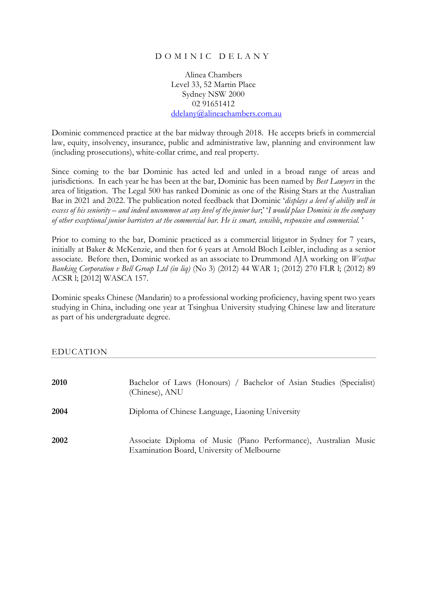#### DOMINIC DELANY

Alinea Chambers Level 33, 52 Martin Place Sydney NSW 2000 02 91651412 [ddelany@alineachambers.com.au](mailto:ddelany@alineachambers.com.au)

Dominic commenced practice at the bar midway through 2018. He accepts briefs in commercial law, equity, insolvency, insurance, public and administrative law, planning and environment law (including prosecutions), white-collar crime, and real property.

Since coming to the bar Dominic has acted led and unled in a broad range of areas and jurisdictions. In each year he has been at the bar, Dominic has been named by *Best Lawyers* in the area of litigation. The Legal 500 has ranked Dominic as one of the Rising Stars at the Australian Bar in 2021 and 2022. The publication noted feedback that Dominic '*displays a level of ability well in excess of his seniority – and indeed uncommon at any level of the junior bar*;' '*I would place Dominic in the company of other exceptional junior barristers at the commercial bar. He is smart, sensible*, *responsive and commercial.* '

Prior to coming to the bar, Dominic practiced as a commercial litigator in Sydney for 7 years, initially at Baker & McKenzie, and then for 6 years at Arnold Bloch Leibler, including as a senior associate. Before then, Dominic worked as an associate to Drummond AJA working on *Westpac Banking Corporation v Bell Group Ltd (in liq)* (No 3) (2012) 44 WAR 1; (2012) 270 FLR l; (2012) 89 ACSR l; [2012] WASCA 157.

Dominic speaks Chinese (Mandarin) to a professional working proficiency, having spent two years studying in China, including one year at Tsinghua University studying Chinese law and literature as part of his undergraduate degree.

#### EDUCATION

| <b>2010</b> | Bachelor of Laws (Honours) / Bachelor of Asian Studies (Specialist)<br>(Chinese), ANU                          |
|-------------|----------------------------------------------------------------------------------------------------------------|
| 2004        | Diploma of Chinese Language, Liaoning University                                                               |
| 2002        | Associate Diploma of Music (Piano Performance), Australian Music<br>Examination Board, University of Melbourne |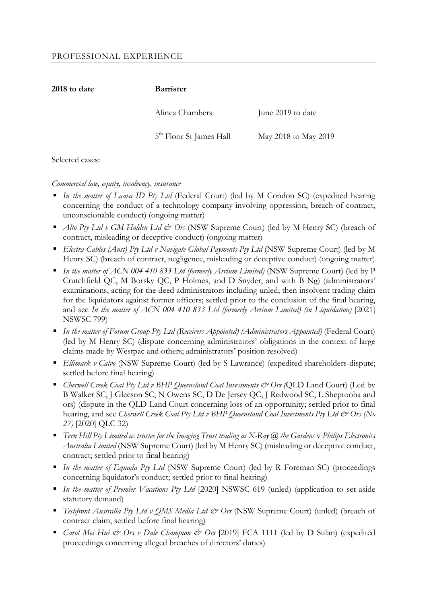**2018 to date Barrister**  Alinea Chambers June 2019 to date

5<sup>th</sup> Floor St James Hall May 2018 to May 2019

Selected cases:

*Commercial law, equity, insolvency, insurance* 

- *In the matter of Laava ID Pty Ltd* (Federal Court) (led by M Condon SC) (expedited hearing concerning the conduct of a technology company involving oppression, breach of contract, unconscionable conduct) (ongoing matter)
- *Alto Pty Ltd v GM Holden Ltd & Ors* (NSW Supreme Court) (led by M Henry SC) (breach of contract, misleading or deceptive conduct) (ongoing matter)
- *Electra Cables (Aust) Pty Ltd v Navigate Global Payments Pty Ltd* (NSW Supreme Court) (led by M Henry SC) (breach of contract, negligence, misleading or deceptive conduct) (ongoing matter)
- *In the matter of ACN 004 410 833 Ltd (formerly Arrium Limited)* (NSW Supreme Court) (led by P Crutchfield QC, M Borsky QC, P Holmes, and D Snyder, and with B Ng) (administrators' examinations, acting for the deed administrators including unled; then insolvent trading claim for the liquidators against former officers; settled prior to the conclusion of the final hearing, and see *In the matter of ACN 004 410 833 Ltd (formerly Arrium Limited) (in Liquidation)* [2021] NSWSC 799)
- *In the matter of Forum Group Pty Ltd (Receivers Appointed) (Administrators Appointed)* (Federal Court) (led by M Henry SC) (dispute concerning administrators' obligations in the context of large claims made by Westpac and others; administrators' position resolved)
- *Ellimark v Calvo* (NSW Supreme Court) (led by S Lawrance) (expedited shareholders dispute; settled before final hearing)
- *Cherwell Creek Coal Pty Ltd v BHP Queensland Coal Investments & Ors (*QLD Land Court) (Led by B Walker SC, J Gleeson SC, N Owens SC, D De Jersey QC, J Redwood SC, L Sheptooha and ors) (dispute in the QLD Land Court concerning loss of an opportunity; settled prior to final hearing, and see *Cherwell Creek Coal Pty Ltd v BHP Queensland Coal Investments Pty Ltd & Ors (No 27)* [2020] QLC 32)
- *Tern Hill Pty Limited as trustee for the Imaging Trust trading as X-Ray @ the Gardens* v *Philips Electronics Australia Limited* (NSW Supreme Court) (led by M Henry SC) (misleading or deceptive conduct, contract; settled prior to final hearing)
- *In the matter of Equada Pty Ltd* (NSW Supreme Court) (led by R Foreman SC) (proceedings concerning liquidator's conduct; settled prior to final hearing)
- *In the matter of Premier Vacations Pty Ltd* [2020] NSWSC 619 (unled) (application to set aside statutory demand)
- *Techfront Australia Pty Ltd v QMS Media Ltd & Ors* (NSW Supreme Court) (unled) (breach of contract claim, settled before final hearing)
- *Carol Mei Hui & Ors v Dale Champion & Ors* [2019] FCA 1111 (led by D Sulan) (expedited proceedings concerning alleged breaches of directors' duties)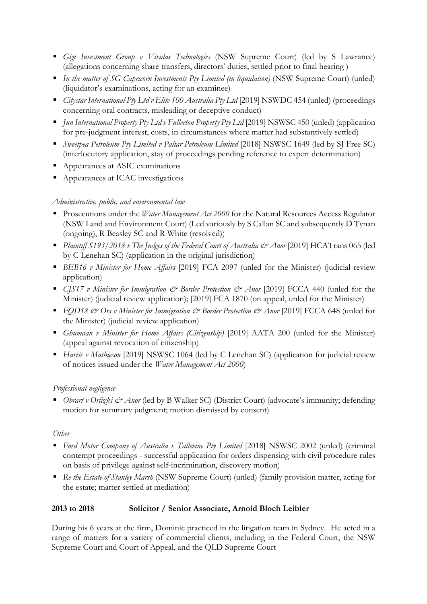- *Gigi Investment Group v Vividas Technologies* (NSW Supreme Court) (led by S Lawrance) (allegations concerning share transfers, directors' duties; settled prior to final hearing )
- *In the matter of SG Capricorn Investments Pty Limited (in liquidation)* (NSW Supreme Court) (unled) (liquidator's examinations, acting for an examinee)
- *Citystar International Pty Ltd v Elite 100 Australia Pty Ltd* [2019] NSWDC 454 (unled) (proceedings concerning oral contracts, misleading or deceptive conduct)
- *Jun International Property Pty Ltd v Fullerton Property Pty Ltd* [2019] NSWSC 450 (unled) (application for pre-judgment interest, costs, in circumstances where matter had substantively settled)
- **S** Sweetpea Petroleum Pty Limited v Paltar Petroleum Limited [2018] NSWSC 1649 (led by SJ Free SC) (interlocutory application, stay of proceedings pending reference to expert determination)
- Appearances at ASIC examinations
- Appearances at ICAC investigations

# *Administrative, public, and environmental law*

- Prosecutions under the *Water Management Act 2000* for the Natural Resources Access Regulator (NSW Land and Environment Court) (Led variously by S Callan SC and subsequently D Tynan (ongoing), R Beasley SC and R White (resolved))
- **Plaintiff S193/2018 v** The Judges of the Federal Court of Australia & Anor [2019] HCATrans 065 (led by C Lenehan SC) (application in the original jurisdiction)
- *BEB16 v Minister for Home Affairs* [2019] FCA 2097 (unled for the Minister) (judicial review application)
- **CJS17** v Minister for Immigration & Border Protection & Anor [2019] FCCA 440 (unled for the Minister) (judicial review application); [2019] FCA 1870 (on appeal, unled for the Minister)
- **FCD18** & Ors v Minister for Immigration & Border Protection & Anor [2019] FCCA 648 (unled for the Minister) (judicial review application)
- **Ghumaan v Minister for Home Affairs (Citizenship)** [2019] AATA 200 (unled for the Minister) (appeal against revocation of citizenship)
- *Harris v Mathieson* [2019] NSWSC 1064 (led by C Lenehan SC) (application for judicial review of notices issued under the *Water Management Act 2000*)

# *Professional negligence*

■ *Obrart v Orlizki & Anor* (led by B Walker SC) (District Court) (advocate's immunity; defending motion for summary judgment; motion dismissed by consent)

# *Other*

- **Ford Motor Company of Australia v Tallevine Pty Limited [2018] NSWSC 2002 (unled) (criminal** contempt proceedings - successful application for orders dispensing with civil procedure rules on basis of privilege against self-incrimination, discovery motion)
- *Re the Estate of Stanley Marsh* (NSW Supreme Court) (unled) (family provision matter, acting for the estate; matter settled at mediation)

# **2013 to 2018 Solicitor / Senior Associate, Arnold Bloch Leibler**

During his 6 years at the firm, Dominic practiced in the litigation team in Sydney. He acted in a range of matters for a variety of commercial clients, including in the Federal Court, the NSW Supreme Court and Court of Appeal, and the QLD Supreme Court